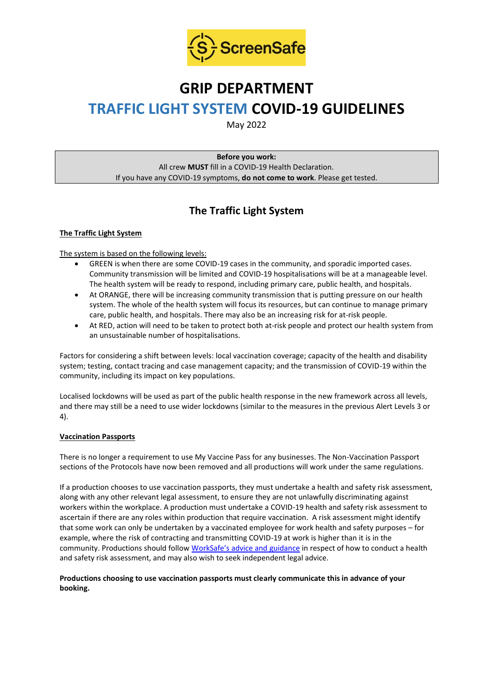

## **GRIP DEPARTMENT**

# **TRAFFIC LIGHT SYSTEM COVID-19 GUIDELINES**

May 2022

**Before you work:** All crew **MUST** fill in a COVID-19 Health Declaration. If you have any COVID-19 symptoms, **do not come to work**. Please get tested.

## **The Traffic Light System**

#### **The Traffic Light System**

#### The system is based on the following levels:

- GREEN is when there are some COVID-19 cases in the community, and sporadic imported cases. Community transmission will be limited and COVID-19 hospitalisations will be at a manageable level. The health system will be ready to respond, including primary care, public health, and hospitals.
- At ORANGE, there will be increasing community transmission that is putting pressure on our health system. The whole of the health system will focus its resources, but can continue to manage primary care, public health, and hospitals. There may also be an increasing risk for at-risk people.
- At RED, action will need to be taken to protect both at-risk people and protect our health system from an unsustainable number of hospitalisations.

Factors for considering a shift between levels: local vaccination coverage; capacity of the health and disability system; testing, contact tracing and case management capacity; and the transmission of COVID-19 within the community, including its impact on key populations.

Localised lockdowns will be used as part of the public health response in the new framework across all levels, and there may still be a need to use wider lockdowns (similar to the measures in the previous Alert Levels 3 or 4).

#### **Vaccination Passports**

There is no longer a requirement to use My Vaccine Pass for any businesses. The Non-Vaccination Passport sections of the Protocols have now been removed and all productions will work under the same regulations.

If a production chooses to use vaccination passports, they must undertake a health and safety risk assessment, along with any other relevant legal assessment, to ensure they are not unlawfully discriminating against workers within the workplace. A production must undertake a COVID-19 health and safety risk assessment to ascertain if there are any roles within production that require vaccination. A risk assessment might identify that some work can only be undertaken by a vaccinated employee for work health and safety purposes – for example, where the risk of contracting and transmitting COVID-19 at work is higher than it is in the community. Productions should follow [WorkSafe's advice and guidance](https://www.worksafe.govt.nz/managing-health-and-safety/novel-coronavirus-covid/covid-19-controls-at-work/) in respect of how to conduct a health and safety risk assessment, and may also wish to seek independent legal advice.

#### **Productions choosing to use vaccination passports must clearly communicate this in advance of your booking.**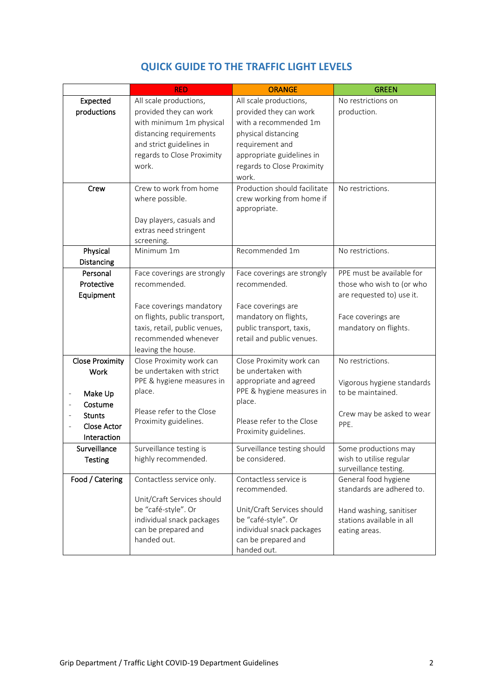|                                     | <b>RED</b>                                                                                                                                        | <b>ORANGE</b>                                                                                                                                                 | <b>GREEN</b>                                                                                                               |
|-------------------------------------|---------------------------------------------------------------------------------------------------------------------------------------------------|---------------------------------------------------------------------------------------------------------------------------------------------------------------|----------------------------------------------------------------------------------------------------------------------------|
| Expected                            | All scale productions,                                                                                                                            | All scale productions,                                                                                                                                        | No restrictions on                                                                                                         |
| productions                         | provided they can work<br>with minimum 1m physical<br>distancing requirements<br>and strict guidelines in<br>regards to Close Proximity<br>work.  | provided they can work<br>with a recommended 1m<br>physical distancing<br>requirement and<br>appropriate guidelines in<br>regards to Close Proximity<br>work. | production.                                                                                                                |
| Crew                                | Crew to work from home<br>where possible.<br>Day players, casuals and<br>extras need stringent<br>screening.                                      | Production should facilitate<br>crew working from home if<br>appropriate.                                                                                     | No restrictions.                                                                                                           |
| Physical                            | Minimum 1m                                                                                                                                        | Recommended 1m                                                                                                                                                | No restrictions.                                                                                                           |
| Distancing                          |                                                                                                                                                   |                                                                                                                                                               |                                                                                                                            |
| Personal                            | Face coverings are strongly                                                                                                                       | Face coverings are strongly                                                                                                                                   | PPE must be available for                                                                                                  |
| Protective<br>Equipment             | recommended.                                                                                                                                      | recommended.                                                                                                                                                  | those who wish to (or who<br>are requested to) use it.                                                                     |
|                                     | Face coverings mandatory<br>on flights, public transport,<br>taxis, retail, public venues,<br>recommended whenever<br>leaving the house.          | Face coverings are<br>mandatory on flights,<br>public transport, taxis,<br>retail and public venues.                                                          | Face coverings are<br>mandatory on flights.                                                                                |
| <b>Close Proximity</b>              | Close Proximity work can                                                                                                                          | Close Proximity work can                                                                                                                                      | No restrictions.                                                                                                           |
| Work                                | be undertaken with strict                                                                                                                         | be undertaken with                                                                                                                                            |                                                                                                                            |
| Make Up<br>Costume<br><b>Stunts</b> | PPE & hygiene measures in<br>place.<br>Please refer to the Close                                                                                  | appropriate and agreed<br>PPE & hygiene measures in<br>place.                                                                                                 | Vigorous hygiene standards<br>to be maintained.<br>Crew may be asked to wear                                               |
| Close Actor<br>Interaction          | Proximity guidelines.                                                                                                                             | Please refer to the Close<br>Proximity guidelines.                                                                                                            | PPE.                                                                                                                       |
| Surveillance<br><b>Testing</b>      | Surveillance testing is<br>highly recommended.                                                                                                    | Surveillance testing should<br>be considered.                                                                                                                 | Some productions may<br>wish to utilise regular<br>surveillance testing.                                                   |
| Food / Catering                     | Contactless service only.<br>Unit/Craft Services should<br>be "café-style". Or<br>individual snack packages<br>can be prepared and<br>handed out. | Contactless service is<br>recommended.<br>Unit/Craft Services should<br>be "café-style". Or<br>individual snack packages<br>can be prepared and               | General food hygiene<br>standards are adhered to.<br>Hand washing, sanitiser<br>stations available in all<br>eating areas. |
|                                     |                                                                                                                                                   | handed out.                                                                                                                                                   |                                                                                                                            |

### **QUICK GUIDE TO THE TRAFFIC LIGHT LEVELS**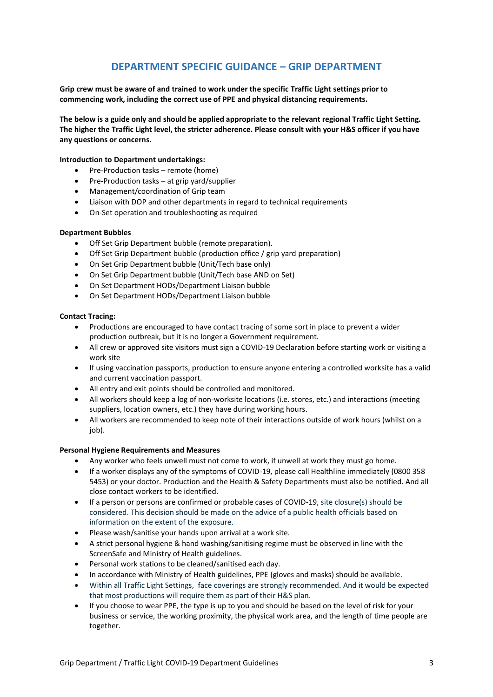### **DEPARTMENT SPECIFIC GUIDANCE – GRIP DEPARTMENT**

**Grip crew must be aware of and trained to work under the specific Traffic Light settings prior to commencing work, including the correct use of PPE and physical distancing requirements.**

**The below is a guide only and should be applied appropriate to the relevant regional Traffic Light Setting. The higher the Traffic Light level, the stricter adherence. Please consult with your H&S officer if you have any questions or concerns.**

#### **Introduction to Department undertakings:**

- Pre-Production tasks remote (home)
- Pre-Production tasks at grip yard/supplier
- Management/coordination of Grip team
- Liaison with DOP and other departments in regard to technical requirements
- On-Set operation and troubleshooting as required

#### **Department Bubbles**

- Off Set Grip Department bubble (remote preparation).
- Off Set Grip Department bubble (production office / grip yard preparation)
- On Set Grip Department bubble (Unit/Tech base only)
- On Set Grip Department bubble (Unit/Tech base AND on Set)
- On Set Department HODs/Department Liaison bubble
- On Set Department HODs/Department Liaison bubble

#### **Contact Tracing:**

- Productions are encouraged to have contact tracing of some sort in place to prevent a wider production outbreak, but it is no longer a Government requirement.
- All crew or approved site visitors must sign a COVID-19 Declaration before starting work or visiting a work site
- If using vaccination passports, production to ensure anyone entering a controlled worksite has a valid and current vaccination passport.
- All entry and exit points should be controlled and monitored.
- All workers should keep a log of non-worksite locations (i.e. stores, etc.) and interactions (meeting suppliers, location owners, etc.) they have during working hours.
- All workers are recommended to keep note of their interactions outside of work hours (whilst on a iob).

#### **Personal Hygiene Requirements and Measures**

- Any worker who feels unwell must not come to work, if unwell at work they must go home.
- If a worker displays any of the symptoms of COVID-19, please call Healthline immediately (0800 358 5453) or your doctor. Production and the Health & Safety Departments must also be notified. And all close contact workers to be identified.
- If a person or persons are confirmed or probable cases of COVID-19, site closure(s) should be considered. This decision should be made on the advice of a public health officials based on information on the extent of the exposure.
- Please wash/sanitise your hands upon arrival at a work site.
- A strict personal hygiene & hand washing/sanitising regime must be observed in line with the ScreenSafe and Ministry of Health guidelines.
- Personal work stations to be cleaned/sanitised each day.
- In accordance with Ministry of Health guidelines, PPE (gloves and masks) should be available.
- Within all Traffic Light Settings, face coverings are strongly recommended. And it would be expected that most productions will require them as part of their H&S plan.
- If you choose to wear PPE, the type is up to you and should be based on the level of risk for your business or service, the working proximity, the physical work area, and the length of time people are together.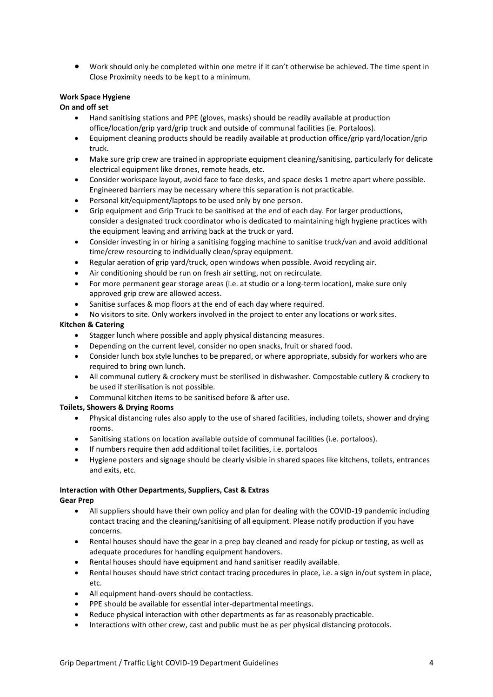• Work should only be completed within one metre if it can't otherwise be achieved. The time spent in Close Proximity needs to be kept to a minimum.

#### **Work Space Hygiene**

#### **On and off set**

- Hand sanitising stations and PPE (gloves, masks) should be readily available at production office/location/grip yard/grip truck and outside of communal facilities (ie. Portaloos).
- Equipment cleaning products should be readily available at production office/grip yard/location/grip truck.
- Make sure grip crew are trained in appropriate equipment cleaning/sanitising, particularly for delicate electrical equipment like drones, remote heads, etc.
- Consider workspace layout, avoid face to face desks, and space desks 1 metre apart where possible. Engineered barriers may be necessary where this separation is not practicable.
- Personal kit/equipment/laptops to be used only by one person.
- Grip equipment and Grip Truck to be sanitised at the end of each day. For larger productions, consider a designated truck coordinator who is dedicated to maintaining high hygiene practices with the equipment leaving and arriving back at the truck or yard.
- Consider investing in or hiring a sanitising fogging machine to sanitise truck/van and avoid additional time/crew resourcing to individually clean/spray equipment.
- Regular aeration of grip yard/truck, open windows when possible. Avoid recycling air.
- Air conditioning should be run on fresh air setting, not on recirculate.
- For more permanent gear storage areas (i.e. at studio or a long-term location), make sure only approved grip crew are allowed access.
- Sanitise surfaces & mop floors at the end of each day where required.
- No visitors to site. Only workers involved in the project to enter any locations or work sites.

#### **Kitchen & Catering**

- Stagger lunch where possible and apply physical distancing measures.
- Depending on the current level, consider no open snacks, fruit or shared food.
- Consider lunch box style lunches to be prepared, or where appropriate, subsidy for workers who are required to bring own lunch.
- All communal cutlery & crockery must be sterilised in dishwasher. Compostable cutlery & crockery to be used if sterilisation is not possible.
- Communal kitchen items to be sanitised before & after use.

#### **Toilets, Showers & Drying Rooms**

- Physical distancing rules also apply to the use of shared facilities, including toilets, shower and drying rooms.
- Sanitising stations on location available outside of communal facilities (i.e. portaloos).
- If numbers require then add additional toilet facilities, i.e. portaloos
- Hygiene posters and signage should be clearly visible in shared spaces like kitchens, toilets, entrances and exits, etc.

### **Interaction with Other Departments, Suppliers, Cast & Extras**

#### **Gear Prep**

- All suppliers should have their own policy and plan for dealing with the COVID-19 pandemic including contact tracing and the cleaning/sanitising of all equipment. Please notify production if you have concerns.
- Rental houses should have the gear in a prep bay cleaned and ready for pickup or testing, as well as adequate procedures for handling equipment handovers.
- Rental houses should have equipment and hand sanitiser readily available.
- Rental houses should have strict contact tracing procedures in place, i.e. a sign in/out system in place, etc.
- All equipment hand-overs should be contactless.
- PPE should be available for essential inter-departmental meetings.
- Reduce physical interaction with other departments as far as reasonably practicable.
- Interactions with other crew, cast and public must be as per physical distancing protocols.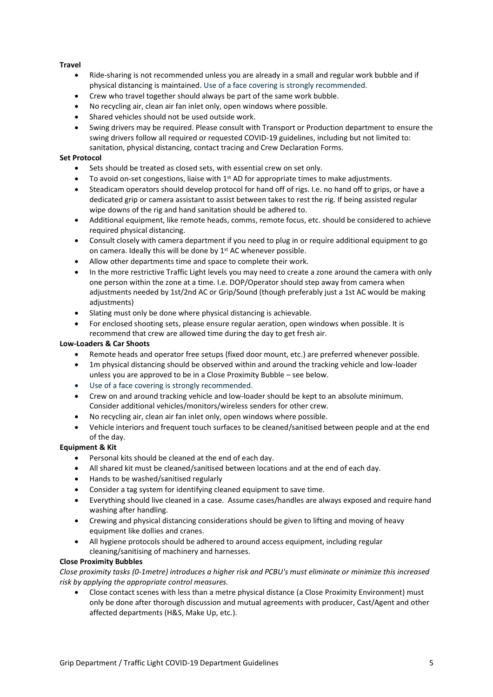#### **Travel**

- Ride-sharing is not recommended unless you are already in a small and regular work bubble and if physical distancing is maintained. Use of a face covering is strongly recommended.
- Crew who travel together should always be part of the same work bubble.
- No recycling air, clean air fan inlet only, open windows where possible.
- Shared vehicles should not be used outside work.
- Swing drivers may be required. Please consult with Transport or Production department to ensure the swing drivers follow all required or requested COVID-19 guidelines, including but not limited to: sanitation, physical distancing, contact tracing and Crew Declaration Forms.

#### **Set Protocol**

- Sets should be treated as closed sets, with essential crew on set only.
- To avoid on-set congestions, liaise with 1<sup>st</sup> AD for appropriate times to make adjustments.
- Steadicam operators should develop protocol for hand off of rigs. I.e. no hand off to grips, or have a dedicated grip or camera assistant to assist between takes to rest the rig. If being assisted regular wipe downs of the rig and hand sanitation should be adhered to.
- Additional equipment, like remote heads, comms, remote focus, etc. should be considered to achieve required physical distancing.
- Consult closely with camera department if you need to plug in or require additional equipment to go on camera. Ideally this will be done by  $1<sup>st</sup>$  AC whenever possible.
- Allow other departments time and space to complete their work.
- In the more restrictive Traffic Light levels you may need to create a zone around the camera with only one person within the zone at a time. I.e. DOP/Operator should step away from camera when adjustments needed by 1st/2nd AC or Grip/Sound (though preferably just a 1st AC would be making adjustments)
- Slating must only be done where physical distancing is achievable.
- For enclosed shooting sets, please ensure regular aeration, open windows when possible. It is recommend that crew are allowed time during the day to get fresh air.

#### **Low-Loaders & Car Shoots**

- Remote heads and operator free setups (fixed door mount, etc.) are preferred whenever possible.
- 1m physical distancing should be observed within and around the tracking vehicle and low-loader unless you are approved to be in a Close Proximity Bubble – see below.
- Use of a face covering is strongly recommended.
- Crew on and around tracking vehicle and low-loader should be kept to an absolute minimum. Consider additional vehicles/monitors/wireless senders for other crew.
- No recycling air, clean air fan inlet only, open windows where possible.
- Vehicle interiors and frequent touch surfaces to be cleaned/sanitised between people and at the end of the day.

#### **Equipment & Kit**

- Personal kits should be cleaned at the end of each day.
- All shared kit must be cleaned/sanitised between locations and at the end of each day.
- Hands to be washed/sanitised regularly
- Consider a tag system for identifying cleaned equipment to save time.
- Everything should live cleaned in a case. Assume cases/handles are always exposed and require hand washing after handling.
- Crewing and physical distancing considerations should be given to lifting and moving of heavy equipment like dollies and cranes.
- All hygiene protocols should be adhered to around access equipment, including regular cleaning/sanitising of machinery and harnesses.

#### **Close Proximity Bubbles**

*Close proximity tasks (0-1metre) introduces a higher risk and PCBU's must eliminate or minimize this increased risk by applying the appropriate control measures.* 

• Close contact scenes with less than a metre physical distance (a Close Proximity Environment) must only be done after thorough discussion and mutual agreements with producer, Cast/Agent and other affected departments (H&S, Make Up, etc.).